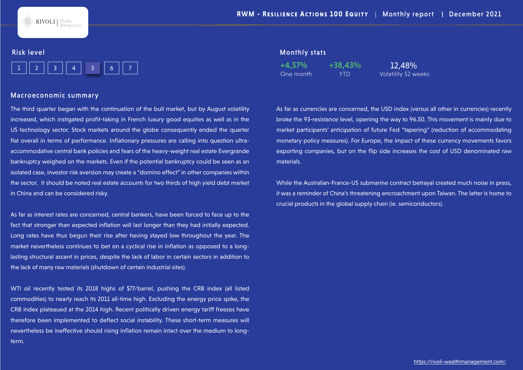**RIVOLI** | Wealth

## Risk level

|--|--|--|--|--|--|--|

#### Macroeconomic summary

The third quarter began with the continuation of the bull market, but by August volatility increased, which instigated profit-taking in French luxury good equities as well as in the US technology sector. Stock markets around the globe consequently ended the quarter flat overall in terms of performance. Inflationary pressures are calling into question ultraaccommodative central bank policies and fears of the heavy-weight real estate Evergrande bankruptcy weighed on the markets. Even if the potential bankruptcy could be seen as an isolated case, investor risk aversion may create a "domino effect" in other companies within the sector. It should be noted real estate accounts for two thirds of high yield debt market in China and can be considered risky.

As far as interest rates are concerned, central bankers, have been forced to face up to the fact that stronger than expected inflation will last longer than they had initially expected. Long rates have thus begun their rise after having stayed low throughout the year. The market nevertheless continues to bet on a cyclical rise in inflation as opposed to a longlasting structural ascent in prices, despite the lack of labor in certain sectors in addition to the lack of many raw materials (shutdown of certain industrial sites).

WTI oil recently tested its 2018 highs of \$77/barrel, pushing the CRB index (all listed commodities) to nearly reach its 2011 all-time high. Excluding the energy price spike, the CRB index plateaued at the 2014 high. Recent politically driven energy tariff freezes have therefore been implemented to deflect social instability. These short-term measures will nevertheless be ineffective should rising inflation remain intact over the medium to longterm.

## Monthly stats

One month YTD Volatility 52 weeks +4,57% +38,43% 12,48%

As far as currencies are concerned, the USD index (versus all other in currencies) recently broke the 93-resistance level, opening the way to 96.50. This movement is mainly due to market participants' anticipation of future Fed "tapering" (reduction of accommodating monetary policy measures). For Europe, the impact of these currency movements favors exporting companies, but on the flip side increases the cost of USD denominated raw materials.

While the Australian-France-US submarine contract betrayal created much noise in press, it was a reminder of China's threatening encroachment upon Taiwan. The latter is home to crucial products in the global supply chain (ie. semiconductors).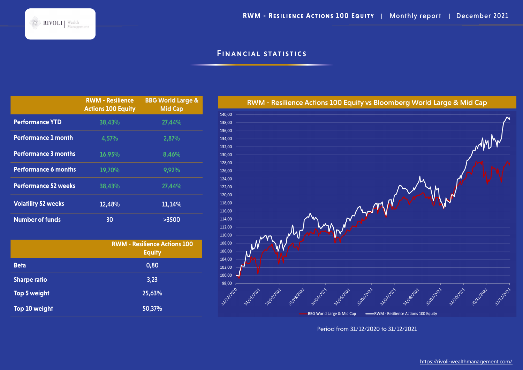# Financial statistics

|                             | <b>RWM - Resilience</b><br><b>Actions 100 Equity</b> | <b>BBG World Large &amp;</b><br><b>Mid Cap</b> |
|-----------------------------|------------------------------------------------------|------------------------------------------------|
| <b>Performance YTD</b>      | 38,43%                                               | 27,44%                                         |
| <b>Performance 1 month</b>  | 4,57%                                                | 2,87%                                          |
| <b>Performance 3 months</b> | 16,95%                                               | 8,46%                                          |
| <b>Performance 6 months</b> | 19,70%                                               | 9,92%                                          |
| <b>Performance 52 weeks</b> | 38,43%                                               | 27,44%                                         |
| <b>Volatility 52 weeks</b>  | 12,48%                                               | 11,14%                                         |
| <b>Number of funds</b>      | 30                                                   | >3500                                          |

|                     | <b>RWM - Resilience Actions 100</b><br><b>Equity</b> |
|---------------------|------------------------------------------------------|
| <b>Beta</b>         | 0,80                                                 |
| <b>Sharpe ratio</b> | 3,23                                                 |
| Top 5 weight        | 25,63%                                               |
| Top 10 weight       | 50,37%                                               |



Period from 31/12/2020 to 31/12/2021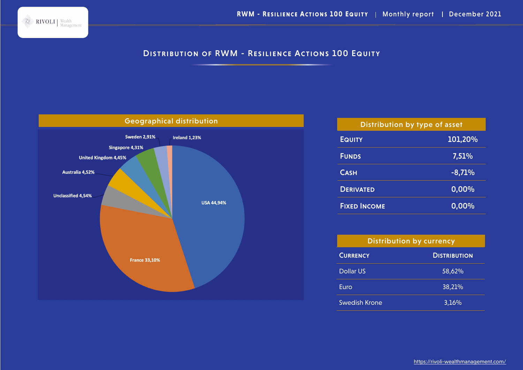

# DISTRIBUTION OF RWM - RESILIENCE ACTIONS 100 EQUITY



| Distribution by type of asset |          |  |  |
|-------------------------------|----------|--|--|
| <b>EQUITY</b>                 | 101,20%  |  |  |
| <b>FUNDS</b>                  | 7,51%    |  |  |
| <b>CASH</b>                   | $-8,71%$ |  |  |
| <b>DERIVATED</b>              | 0,00%    |  |  |
| <b>FIXED INCOME</b>           | 0,00%    |  |  |

| <b>Distribution by currency</b> |                     |  |  |
|---------------------------------|---------------------|--|--|
| <b>CURRENCY</b>                 | <b>DISTRIBUTION</b> |  |  |
| Dollar US                       | 58,62%              |  |  |
| Euro                            | 38,21%              |  |  |
| Swedish Krone                   | 3,16%               |  |  |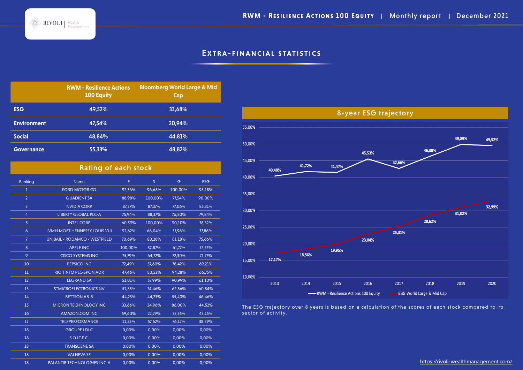**RWM - RESILIENCE ACTIONS 100 EQUITY | Monthly report | December 2021** 



# EXTRA-FINANCIAL STATISTICS

|                    | <b>RWM - Resilience Actions</b><br><b>100 Equity</b> | <b>Bloomberg World Large &amp; Mid</b><br>Cap |
|--------------------|------------------------------------------------------|-----------------------------------------------|
| <b>ESG</b>         | 49,52%                                               | 33,68%                                        |
| <b>Environment</b> | 47.54%                                               | 20.94%                                        |
| <b>Social</b>      | 48.84%                                               | 44,81%                                        |
| <b>Governance</b>  | 55,33%                                               | 48,82%                                        |

|                | <b>Rating of each stock</b>          |         |              |         |            |  |
|----------------|--------------------------------------|---------|--------------|---------|------------|--|
| Ranking        | Name                                 | E       | <sub>S</sub> | G       | <b>ESG</b> |  |
| ı              | <b>FORD MOTOR CO</b>                 | 92,36%  | 96,68%       | 100,00% | 95,18%     |  |
| $\overline{2}$ | <b>QUADIENT SA</b>                   | 88,98%  | 100,00%      | 77,54%  | 90,00%     |  |
| 3              | <b>NVIDIA CORP</b>                   | 87,37%  | 87.37%       | 77.06%  | 85,31%     |  |
| $\overline{4}$ | <b>LIBERTY GLOBAL PLC-A</b>          | 75,94%  | 88,37%       | 76,80%  | 79.84%     |  |
| 5              | <b>INTEL CORP</b>                    | 60,59%  | 100,00%      | 90,10%  | 78,32%     |  |
| $\ddot{\circ}$ | LVMH MOET HENNESSY LOUIS VUI         | 92,62%  | 66,04%       | 57,96%  | 77,86%     |  |
| $\overline{7}$ | <b>UNIBAIL - RODAMCO - WESTFIELD</b> | 70,69%  | 80,28%       | 81,18%  | 75,66%     |  |
| 8              | <b>APPLE INC</b>                     | 100,00% | 32,87%       | 61,77%  | 72,22%     |  |
| 9              | <b>CISCO SYSTEMS INC</b>             | 75,79%  | 64,72%       | 72,30%  | 71,77%     |  |
| 10             | PEPSICO INC                          | 72,49%  | 57,60%       | 78,42%  | 69,21%     |  |
| 11             | <b>RIO TINTO PLC-SPON ADR</b>        | 47.46%  | 80,53%       | 94,28%  | 66,75%     |  |
| 12             | <b>LEGRAND SA</b>                    | 51,01%  | 57,99%       | 90,99%  | 61,10%     |  |
| 13             | <b>STMICROELECTRONICS NV</b>         | 51,85%  | 74,46%       | 62,86%  | 60,84%     |  |
| 14             | <b>BETTSON AB-B</b>                  | 44,23%  | 44.23%       | 55,40%  | 46,46%     |  |
| 15             | <b>MICRON TECHNOLOGY INC</b>         | 33,66%  | 34.96%       | 86.00%  | 44.52%     |  |
| 16             | <b>AMAZON.COM INC</b>                | 59,60%  | 22,79%       | 32,55%  | 43,15%     |  |
| 17             | <b>TELEPERFORMANCE</b>               | 11,55%  | 57,62%       | 76,12%  | 38,29%     |  |
| 18             | <b>GROUPE LDLC</b>                   | 0,00%   | 0.00%        | 0,00%   | 0,00%      |  |
| 18             | S.O.I.T.E.C.                         | 0,00%   | 0,00%        | 0,00%   | 0,00%      |  |
| 18             | <b>TRANSGENE SA</b>                  | 0,00%   | 0,00%        | 0,00%   | 0,00%      |  |
| 18             | <b>VALNEVA SE</b>                    | 0,00%   | 0,00%        | 0,00%   | 0,00%      |  |
| 18             | <b>PALANTIR TECHNOLOGIES INC-A</b>   | 0,00%   | 0.00%        | 0.00%   | 0,00%      |  |



The ESG trajectory over 8 years is based on a calculation of the scores of each stock compared to its sector of activity.

https://rivoli-wealthmanagement.com/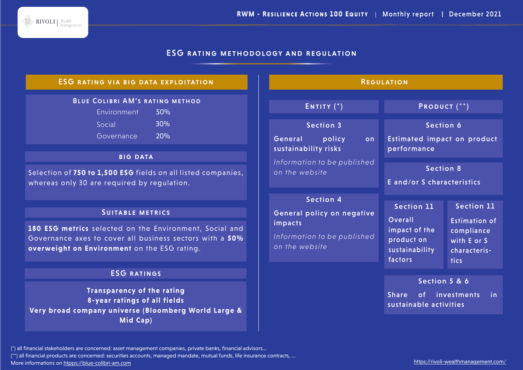## ESG rating methodology and regulation

#### Blue Colibri AM's rating method Environment 50% Social 30% Governance 20% ESG rating via big data exploitation **BIG DATA** Selection of **750 to 1,500 ESG** fields on all listed companies, whereas only 30 are required by regulation. SUITABLE METRICS **180 ESG metrics** selected on the Environment, Social and Governance axes to cover all business sectors with a **50% overweight on Environment** on the ESG rating. ESG ratings **Transparency of the rating 8-year ratings of all fields Very broad company universe (Bloomberg World Large & Mid Cap) REGULATION** ENTITY (\*) PRODUCT (\*\*) Section 3 General policy on sustainability risks *Information to be published on the website* Section 4 General policy on negative impacts *Information to be published on the website* Section 6 Estimated impact on product performance Section 11 Overall impact of the product on sustainability factors Section 11 Estimation of compliance with E or S characteristics Section 5 & 6 Share of investments in sustainable activities Section 8 E and/or S characteristics

(\*) all financial stakeholders are concerned: asset management companies, private banks, financial advisors...

(\*\*) all financial products are concerned: securities accounts, managed mandate, mutual funds, life insurance contracts, ...

More informations on htpps://blue-colibri-am.com